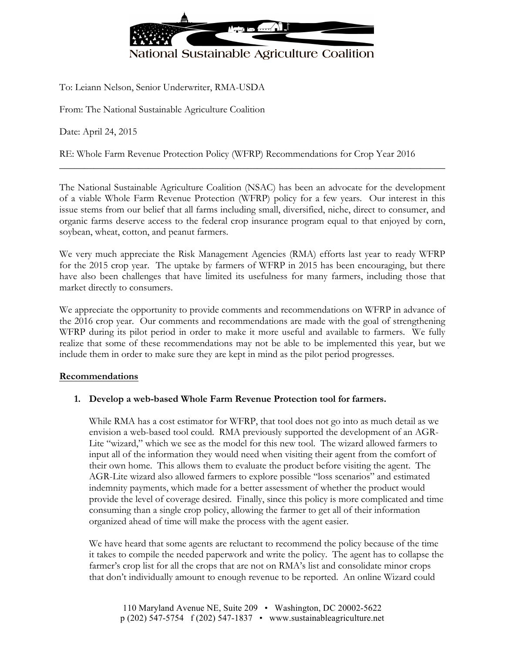

To: Leiann Nelson, Senior Underwriter, RMA-USDA

From: The National Sustainable Agriculture Coalition

Date: April 24, 2015

RE: Whole Farm Revenue Protection Policy (WFRP) Recommendations for Crop Year 2016

The National Sustainable Agriculture Coalition (NSAC) has been an advocate for the development of a viable Whole Farm Revenue Protection (WFRP) policy for a few years. Our interest in this issue stems from our belief that all farms including small, diversified, niche, direct to consumer, and organic farms deserve access to the federal crop insurance program equal to that enjoyed by corn, soybean, wheat, cotton, and peanut farmers.

\_\_\_\_\_\_\_\_\_\_\_\_\_\_\_\_\_\_\_\_\_\_\_\_\_\_\_\_\_\_\_\_\_\_\_\_\_\_\_\_\_\_\_\_\_\_\_\_\_\_\_\_\_\_\_\_\_\_\_\_\_\_\_\_\_\_\_\_\_\_\_\_\_\_\_\_\_\_

We very much appreciate the Risk Management Agencies (RMA) efforts last year to ready WFRP for the 2015 crop year. The uptake by farmers of WFRP in 2015 has been encouraging, but there have also been challenges that have limited its usefulness for many farmers, including those that market directly to consumers.

We appreciate the opportunity to provide comments and recommendations on WFRP in advance of the 2016 crop year. Our comments and recommendations are made with the goal of strengthening WFRP during its pilot period in order to make it more useful and available to farmers. We fully realize that some of these recommendations may not be able to be implemented this year, but we include them in order to make sure they are kept in mind as the pilot period progresses.

#### **Recommendations**

## **1. Develop a web-based Whole Farm Revenue Protection tool for farmers.**

While RMA has a cost estimator for WFRP, that tool does not go into as much detail as we envision a web-based tool could. RMA previously supported the development of an AGR-Lite "wizard," which we see as the model for this new tool. The wizard allowed farmers to input all of the information they would need when visiting their agent from the comfort of their own home. This allows them to evaluate the product before visiting the agent. The AGR-Lite wizard also allowed farmers to explore possible "loss scenarios" and estimated indemnity payments, which made for a better assessment of whether the product would provide the level of coverage desired. Finally, since this policy is more complicated and time consuming than a single crop policy, allowing the farmer to get all of their information organized ahead of time will make the process with the agent easier.

We have heard that some agents are reluctant to recommend the policy because of the time it takes to compile the needed paperwork and write the policy. The agent has to collapse the farmer's crop list for all the crops that are not on RMA's list and consolidate minor crops that don't individually amount to enough revenue to be reported. An online Wizard could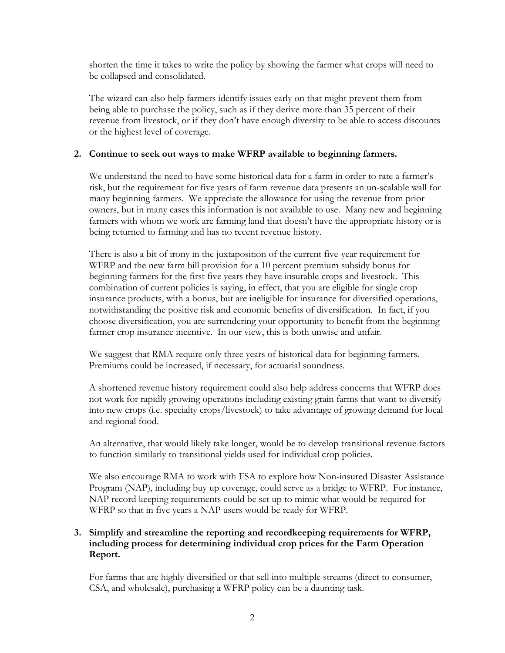shorten the time it takes to write the policy by showing the farmer what crops will need to be collapsed and consolidated.

The wizard can also help farmers identify issues early on that might prevent them from being able to purchase the policy, such as if they derive more than 35 percent of their revenue from livestock, or if they don't have enough diversity to be able to access discounts or the highest level of coverage.

# **2. Continue to seek out ways to make WFRP available to beginning farmers.**

We understand the need to have some historical data for a farm in order to rate a farmer's risk, but the requirement for five years of farm revenue data presents an un-scalable wall for many beginning farmers. We appreciate the allowance for using the revenue from prior owners, but in many cases this information is not available to use. Many new and beginning farmers with whom we work are farming land that doesn't have the appropriate history or is being returned to farming and has no recent revenue history.

There is also a bit of irony in the juxtaposition of the current five-year requirement for WFRP and the new farm bill provision for a 10 percent premium subsidy bonus for beginning farmers for the first five years they have insurable crops and livestock. This combination of current policies is saying, in effect, that you are eligible for single crop insurance products, with a bonus, but are ineligible for insurance for diversified operations, notwithstanding the positive risk and economic benefits of diversification. In fact, if you choose diversification, you are surrendering your opportunity to benefit from the beginning farmer crop insurance incentive. In our view, this is both unwise and unfair.

We suggest that RMA require only three years of historical data for beginning farmers. Premiums could be increased, if necessary, for actuarial soundness.

A shortened revenue history requirement could also help address concerns that WFRP does not work for rapidly growing operations including existing grain farms that want to diversify into new crops (i.e. specialty crops/livestock) to take advantage of growing demand for local and regional food.

An alternative, that would likely take longer, would be to develop transitional revenue factors to function similarly to transitional yields used for individual crop policies.

We also encourage RMA to work with FSA to explore how Non-insured Disaster Assistance Program (NAP), including buy up coverage, could serve as a bridge to WFRP. For instance, NAP record keeping requirements could be set up to mimic what would be required for WFRP so that in five years a NAP users would be ready for WFRP.

# **3. Simplify and streamline the reporting and recordkeeping requirements for WFRP, including process for determining individual crop prices for the Farm Operation Report.**

For farms that are highly diversified or that sell into multiple streams (direct to consumer, CSA, and wholesale), purchasing a WFRP policy can be a daunting task.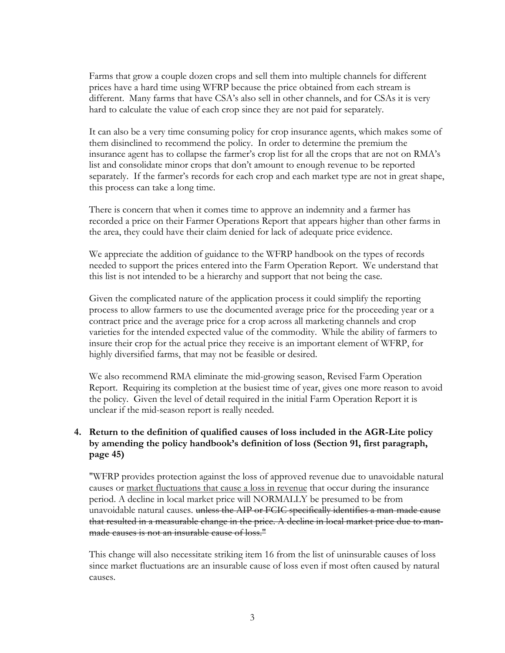Farms that grow a couple dozen crops and sell them into multiple channels for different prices have a hard time using WFRP because the price obtained from each stream is different. Many farms that have CSA's also sell in other channels, and for CSAs it is very hard to calculate the value of each crop since they are not paid for separately.

It can also be a very time consuming policy for crop insurance agents, which makes some of them disinclined to recommend the policy. In order to determine the premium the insurance agent has to collapse the farmer's crop list for all the crops that are not on RMA's list and consolidate minor crops that don't amount to enough revenue to be reported separately. If the farmer's records for each crop and each market type are not in great shape, this process can take a long time.

There is concern that when it comes time to approve an indemnity and a farmer has recorded a price on their Farmer Operations Report that appears higher than other farms in the area, they could have their claim denied for lack of adequate price evidence.

We appreciate the addition of guidance to the WFRP handbook on the types of records needed to support the prices entered into the Farm Operation Report. We understand that this list is not intended to be a hierarchy and support that not being the case.

Given the complicated nature of the application process it could simplify the reporting process to allow farmers to use the documented average price for the proceeding year or a contract price and the average price for a crop across all marketing channels and crop varieties for the intended expected value of the commodity. While the ability of farmers to insure their crop for the actual price they receive is an important element of WFRP, for highly diversified farms, that may not be feasible or desired.

We also recommend RMA eliminate the mid-growing season, Revised Farm Operation Report. Requiring its completion at the busiest time of year, gives one more reason to avoid the policy. Given the level of detail required in the initial Farm Operation Report it is unclear if the mid-season report is really needed.

# **4. Return to the definition of qualified causes of loss included in the AGR-Lite policy by amending the policy handbook's definition of loss (Section 91, first paragraph, page 45)**

"WFRP provides protection against the loss of approved revenue due to unavoidable natural causes or market fluctuations that cause a loss in revenue that occur during the insurance period. A decline in local market price will NORMALLY be presumed to be from unavoidable natural causes. unless the AIP or FCIC specifically identifies a man-made cause that resulted in a measurable change in the price. A decline in local market price due to manmade causes is not an insurable cause of loss."

This change will also necessitate striking item 16 from the list of uninsurable causes of loss since market fluctuations are an insurable cause of loss even if most often caused by natural causes.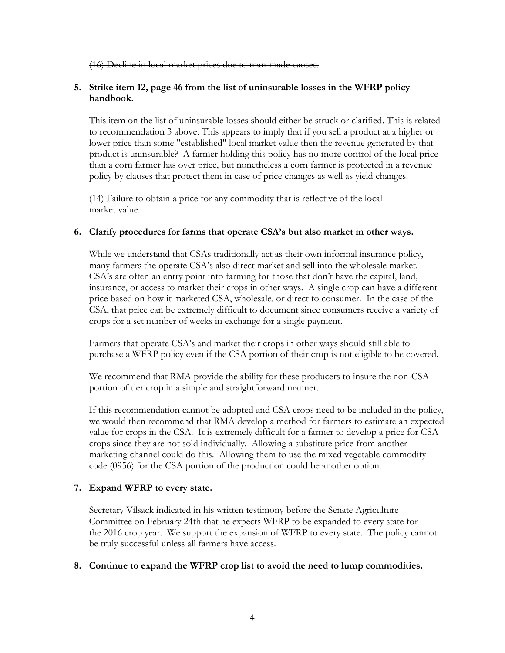(16) Decline in local market prices due to man-made causes.

## **5. Strike item 12, page 46 from the list of uninsurable losses in the WFRP policy handbook.**

This item on the list of uninsurable losses should either be struck or clarified. This is related to recommendation 3 above. This appears to imply that if you sell a product at a higher or lower price than some "established" local market value then the revenue generated by that product is uninsurable? A farmer holding this policy has no more control of the local price than a corn farmer has over price, but nonetheless a corn farmer is protected in a revenue policy by clauses that protect them in case of price changes as well as yield changes.

(14) Failure to obtain a price for any commodity that is reflective of the local market value.

### **6. Clarify procedures for farms that operate CSA's but also market in other ways.**

While we understand that CSAs traditionally act as their own informal insurance policy, many farmers the operate CSA's also direct market and sell into the wholesale market. CSA's are often an entry point into farming for those that don't have the capital, land, insurance, or access to market their crops in other ways. A single crop can have a different price based on how it marketed CSA, wholesale, or direct to consumer. In the case of the CSA, that price can be extremely difficult to document since consumers receive a variety of crops for a set number of weeks in exchange for a single payment.

Farmers that operate CSA's and market their crops in other ways should still able to purchase a WFRP policy even if the CSA portion of their crop is not eligible to be covered.

We recommend that RMA provide the ability for these producers to insure the non-CSA portion of tier crop in a simple and straightforward manner.

If this recommendation cannot be adopted and CSA crops need to be included in the policy, we would then recommend that RMA develop a method for farmers to estimate an expected value for crops in the CSA. It is extremely difficult for a farmer to develop a price for CSA crops since they are not sold individually. Allowing a substitute price from another marketing channel could do this. Allowing them to use the mixed vegetable commodity code (0956) for the CSA portion of the production could be another option.

## **7. Expand WFRP to every state.**

Secretary Vilsack indicated in his written testimony before the Senate Agriculture Committee on February 24th that he expects WFRP to be expanded to every state for the 2016 crop year. We support the expansion of WFRP to every state. The policy cannot be truly successful unless all farmers have access.

#### **8. Continue to expand the WFRP crop list to avoid the need to lump commodities.**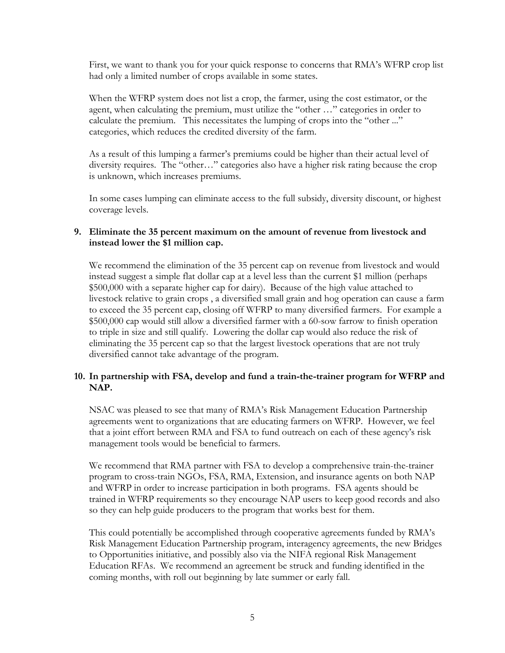First, we want to thank you for your quick response to concerns that RMA's WFRP crop list had only a limited number of crops available in some states.

When the WFRP system does not list a crop, the farmer, using the cost estimator, or the agent, when calculating the premium, must utilize the "other …" categories in order to calculate the premium. This necessitates the lumping of crops into the "other ..." categories, which reduces the credited diversity of the farm.

As a result of this lumping a farmer's premiums could be higher than their actual level of diversity requires. The "other…" categories also have a higher risk rating because the crop is unknown, which increases premiums.

In some cases lumping can eliminate access to the full subsidy, diversity discount, or highest coverage levels.

### **9. Eliminate the 35 percent maximum on the amount of revenue from livestock and instead lower the \$1 million cap.**

We recommend the elimination of the 35 percent cap on revenue from livestock and would instead suggest a simple flat dollar cap at a level less than the current \$1 million (perhaps \$500,000 with a separate higher cap for dairy). Because of the high value attached to livestock relative to grain crops , a diversified small grain and hog operation can cause a farm to exceed the 35 percent cap, closing off WFRP to many diversified farmers. For example a \$500,000 cap would still allow a diversified farmer with a 60-sow farrow to finish operation to triple in size and still qualify. Lowering the dollar cap would also reduce the risk of eliminating the 35 percent cap so that the largest livestock operations that are not truly diversified cannot take advantage of the program.

# **10. In partnership with FSA, develop and fund a train-the-trainer program for WFRP and NAP.**

NSAC was pleased to see that many of RMA's Risk Management Education Partnership agreements went to organizations that are educating farmers on WFRP. However, we feel that a joint effort between RMA and FSA to fund outreach on each of these agency's risk management tools would be beneficial to farmers.

We recommend that RMA partner with FSA to develop a comprehensive train-the-trainer program to cross-train NGOs, FSA, RMA, Extension, and insurance agents on both NAP and WFRP in order to increase participation in both programs. FSA agents should be trained in WFRP requirements so they encourage NAP users to keep good records and also so they can help guide producers to the program that works best for them.

This could potentially be accomplished through cooperative agreements funded by RMA's Risk Management Education Partnership program, interagency agreements, the new Bridges to Opportunities initiative, and possibly also via the NIFA regional Risk Management Education RFAs. We recommend an agreement be struck and funding identified in the coming months, with roll out beginning by late summer or early fall.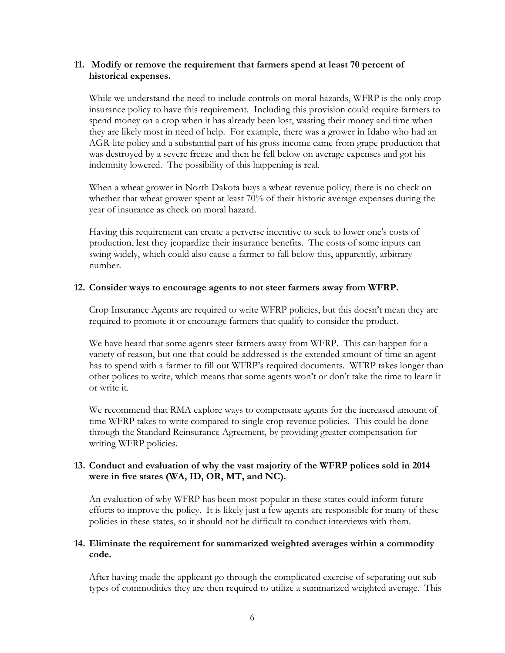## **11. Modify or remove the requirement that farmers spend at least 70 percent of historical expenses.**

While we understand the need to include controls on moral hazards, WFRP is the only crop insurance policy to have this requirement. Including this provision could require farmers to spend money on a crop when it has already been lost, wasting their money and time when they are likely most in need of help. For example, there was a grower in Idaho who had an AGR-lite policy and a substantial part of his gross income came from grape production that was destroyed by a severe freeze and then he fell below on average expenses and got his indemnity lowered. The possibility of this happening is real.

When a wheat grower in North Dakota buys a wheat revenue policy, there is no check on whether that wheat grower spent at least 70% of their historic average expenses during the year of insurance as check on moral hazard.

Having this requirement can create a perverse incentive to seek to lower one's costs of production, lest they jeopardize their insurance benefits. The costs of some inputs can swing widely, which could also cause a farmer to fall below this, apparently, arbitrary number.

### **12. Consider ways to encourage agents to not steer farmers away from WFRP.**

Crop Insurance Agents are required to write WFRP policies, but this doesn't mean they are required to promote it or encourage farmers that qualify to consider the product.

We have heard that some agents steer farmers away from WFRP. This can happen for a variety of reason, but one that could be addressed is the extended amount of time an agent has to spend with a farmer to fill out WFRP's required documents. WFRP takes longer than other polices to write, which means that some agents won't or don't take the time to learn it or write it.

We recommend that RMA explore ways to compensate agents for the increased amount of time WFRP takes to write compared to single crop revenue policies. This could be done through the Standard Reinsurance Agreement, by providing greater compensation for writing WFRP policies.

## **13. Conduct and evaluation of why the vast majority of the WFRP polices sold in 2014 were in five states (WA, ID, OR, MT, and NC).**

An evaluation of why WFRP has been most popular in these states could inform future efforts to improve the policy. It is likely just a few agents are responsible for many of these policies in these states, so it should not be difficult to conduct interviews with them.

## **14. Eliminate the requirement for summarized weighted averages within a commodity code.**

After having made the applicant go through the complicated exercise of separating out subtypes of commodities they are then required to utilize a summarized weighted average. This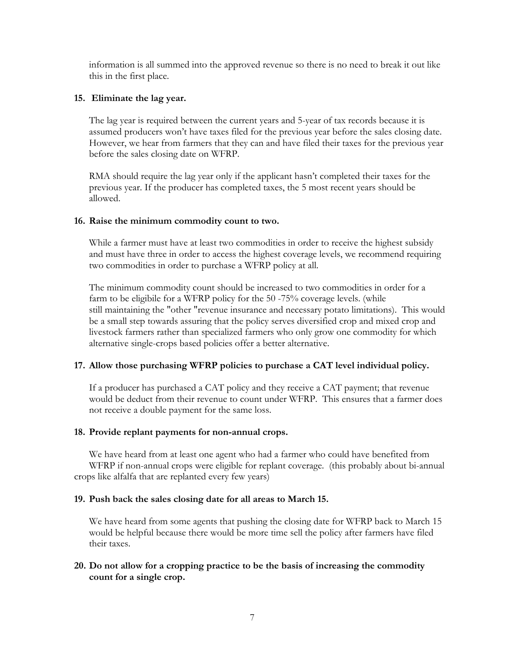information is all summed into the approved revenue so there is no need to break it out like this in the first place.

### **15. Eliminate the lag year.**

The lag year is required between the current years and 5-year of tax records because it is assumed producers won't have taxes filed for the previous year before the sales closing date. However, we hear from farmers that they can and have filed their taxes for the previous year before the sales closing date on WFRP.

RMA should require the lag year only if the applicant hasn't completed their taxes for the previous year. If the producer has completed taxes, the 5 most recent years should be allowed.

### **16. Raise the minimum commodity count to two.**

While a farmer must have at least two commodities in order to receive the highest subsidy and must have three in order to access the highest coverage levels, we recommend requiring two commodities in order to purchase a WFRP policy at all.

The minimum commodity count should be increased to two commodities in order for a farm to be eligibile for a WFRP policy for the 50 -75% coverage levels. (while still maintaining the "other "revenue insurance and necessary potato limitations). This would be a small step towards assuring that the policy serves diversified crop and mixed crop and livestock farmers rather than specialized farmers who only grow one commodity for which alternative single-crops based policies offer a better alternative.

## **17. Allow those purchasing WFRP policies to purchase a CAT level individual policy.**

If a producer has purchased a CAT policy and they receive a CAT payment; that revenue would be deduct from their revenue to count under WFRP. This ensures that a farmer does not receive a double payment for the same loss.

## **18. Provide replant payments for non-annual crops.**

We have heard from at least one agent who had a farmer who could have benefited from WFRP if non-annual crops were eligible for replant coverage. (this probably about bi-annual crops like alfalfa that are replanted every few years)

## **19. Push back the sales closing date for all areas to March 15.**

We have heard from some agents that pushing the closing date for WFRP back to March 15 would be helpful because there would be more time sell the policy after farmers have filed their taxes.

## **20. Do not allow for a cropping practice to be the basis of increasing the commodity count for a single crop.**